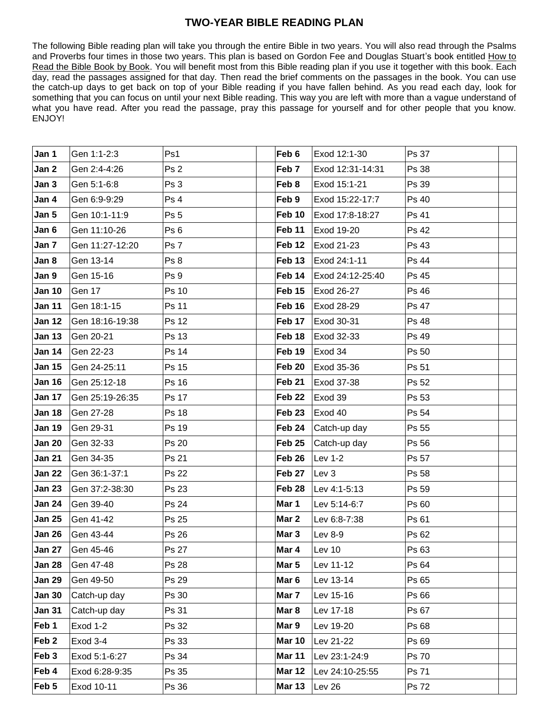## **TWO-YEAR BIBLE READING PLAN**

The following Bible reading plan will take you through the entire Bible in two years. You will also read through the Psalms and Proverbs four times in those two years. This plan is based on Gordon Fee and Douglas Stuart's book entitled How to Read the Bible Book by Book. You will benefit most from this Bible reading plan if you use it together with this book. Each day, read the passages assigned for that day. Then read the brief comments on the passages in the book. You can use the catch-up days to get back on top of your Bible reading if you have fallen behind. As you read each day, look for something that you can focus on until your next Bible reading. This way you are left with more than a vague understand of what you have read. After you read the passage, pray this passage for yourself and for other people that you know. ENJOY!

| Jan 1            | Gen 1:1-2:3             | Ps1             | Feb 6             | Exod 12:1-30     | Ps 37 |  |
|------------------|-------------------------|-----------------|-------------------|------------------|-------|--|
| Jan 2            | Gen 2:4-4:26            | Ps 2            | Feb <sub>7</sub>  | Exod 12:31-14:31 | Ps 38 |  |
| Jan 3            | Gen 5:1-6:8             | Ps 3            | Feb 8             | Exod 15:1-21     | Ps 39 |  |
| Jan 4            | Gen 6:9-9:29            | Ps 4            | Feb 9             | Exod 15:22-17:7  | Ps 40 |  |
| Jan 5            | Gen 10:1-11:9           | Ps 5            | Feb 10            | Exod 17:8-18:27  | Ps 41 |  |
| Jan 6            | Gen 11:10-26            | Ps <sub>6</sub> | Feb 11            | Exod 19-20       | Ps 42 |  |
| Jan 7            | Gen 11:27-12:20         | Ps 7            | Feb 12            | Exod 21-23       | Ps 43 |  |
| Jan 8            | Gen 13-14               | Ps 8            | Feb 13            | Exod 24:1-11     | Ps 44 |  |
| Jan 9            | Gen 15-16               | Ps 9            | Feb 14            | Exod 24:12-25:40 | Ps 45 |  |
| <b>Jan 10</b>    | Gen 17                  | Ps 10           | Feb 15            | Exod 26-27       | Ps 46 |  |
| <b>Jan 11</b>    | Gen 18:1-15             | Ps 11           | Feb 16            | Exod 28-29       | Ps 47 |  |
| <b>Jan 12</b>    | Gen 18:16-19:38         | Ps 12           | Feb 17            | Exod 30-31       | Ps 48 |  |
| <b>Jan 13</b>    | Gen 20-21               | Ps 13           | Feb 18            | Exod 32-33       | Ps 49 |  |
| <b>Jan 14</b>    | Gen 22-23               | Ps 14           | Feb 19            | Exod 34          | Ps 50 |  |
| <b>Jan 15</b>    | Gen 24-25:11            | Ps 15           | Feb 20            | Exod 35-36       | Ps 51 |  |
| <b>Jan 16</b>    | Gen 25:12-18            | Ps 16           | Feb 21            | Exod 37-38       | Ps 52 |  |
| <b>Jan 17</b>    | Gen 25:19-26:35         | Ps 17           | Feb <sub>22</sub> | Exod 39          | Ps 53 |  |
| <b>Jan 18</b>    | Gen 27-28               | Ps 18           | Feb <sub>23</sub> | Exod 40          | Ps 54 |  |
| <b>Jan 19</b>    | Gen 29-31               | Ps 19           | Feb 24            | Catch-up day     | Ps 55 |  |
| <b>Jan 20</b>    | Gen 32-33               | Ps 20           | Feb <sub>25</sub> | Catch-up day     | Ps 56 |  |
| <b>Jan 21</b>    | Gen 34-35               | Ps 21           | Feb 26            | Lev 1-2          | Ps 57 |  |
| <b>Jan 22</b>    | Gen 36:1-37:1           | Ps 22           | Feb 27            | Lev <sub>3</sub> | Ps 58 |  |
| <b>Jan 23</b>    | Gen 37:2-38:30          | Ps 23           | Feb 28            | Lev 4:1-5:13     | Ps 59 |  |
| <b>Jan 24</b>    | Gen 39-40               | Ps 24           | Mar 1             | Lev 5:14-6:7     | Ps 60 |  |
| <b>Jan 25</b>    | Gen 41-42               | Ps 25           | Mar 2             | Lev 6:8-7:38     | Ps 61 |  |
| <b>Jan 26</b>    | Gen 43-44               | Ps 26           | Mar 3             | Lev 8-9          | Ps 62 |  |
|                  | <b>Jan 27</b> Gen 45-46 | Ps 27           | Mar 4             | Lev 10           | Ps 63 |  |
| <b>Jan 28</b>    | Gen 47-48               | Ps 28           | Mar 5             | Lev 11-12        | Ps 64 |  |
| <b>Jan 29</b>    | Gen 49-50               | Ps 29           | Mar 6             | Lev 13-14        | Ps 65 |  |
| <b>Jan 30</b>    | Catch-up day            | Ps 30           | Mar 7             | Lev 15-16        | Ps 66 |  |
| <b>Jan 31</b>    | Catch-up day            | Ps 31           | Mar 8             | Lev 17-18        | Ps 67 |  |
| Feb 1            | <b>Exod 1-2</b>         | Ps 32           | Mar 9             | Lev 19-20        | Ps 68 |  |
| Feb <sub>2</sub> | Exod 3-4                | Ps 33           | <b>Mar 10</b>     | Lev 21-22        | Ps 69 |  |
| Feb 3            | Exod 5:1-6:27           | Ps 34           | <b>Mar 11</b>     | Lev 23:1-24:9    | Ps 70 |  |
| Feb 4            | Exod 6:28-9:35          | Ps 35           | <b>Mar 12</b>     | Lev 24:10-25:55  | Ps 71 |  |
| Feb 5            | Exod 10-11              | Ps 36           | <b>Mar 13</b>     | Lev 26           | Ps 72 |  |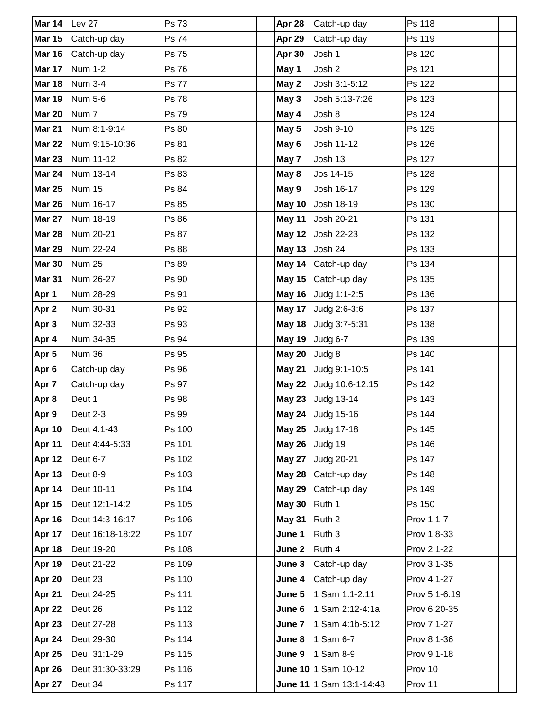| Mar 14        | Lev 27           | Ps 73        | Apr 28         | Catch-up day               | Ps 118        |  |
|---------------|------------------|--------------|----------------|----------------------------|---------------|--|
| <b>Mar 15</b> | Catch-up day     | Ps 74        | Apr 29         | Catch-up day               | Ps 119        |  |
| <b>Mar 16</b> | Catch-up day     | Ps 75        | Apr 30         | Josh 1                     | Ps 120        |  |
| Mar 17        | <b>Num 1-2</b>   | Ps 76        | May 1          | Josh 2                     | Ps 121        |  |
| <b>Mar 18</b> | <b>Num 3-4</b>   | <b>Ps 77</b> | May 2          | Josh 3:1-5:12              | Ps 122        |  |
| <b>Mar 19</b> | Num 5-6          | <b>Ps 78</b> | May 3          | Josh 5:13-7:26             | Ps 123        |  |
| <b>Mar 20</b> | Num <sub>7</sub> | Ps 79        | May 4          | Josh 8                     | Ps 124        |  |
| <b>Mar 21</b> | Num 8:1-9:14     | Ps 80        | May 5          | Josh 9-10                  | Ps 125        |  |
| <b>Mar 22</b> | Num 9:15-10:36   | Ps 81        | May 6          | Josh 11-12                 | Ps 126        |  |
| <b>Mar 23</b> | Num 11-12        | Ps 82        | May 7          | Josh 13                    | Ps 127        |  |
| <b>Mar 24</b> | Num 13-14        | Ps 83        | May 8          | Jos 14-15                  | Ps 128        |  |
| <b>Mar 25</b> | <b>Num 15</b>    | Ps 84        | May 9          | Josh 16-17                 | Ps 129        |  |
| <b>Mar 26</b> | Num 16-17        | Ps 85        | May 10         | Josh 18-19                 | Ps 130        |  |
| <b>Mar 27</b> | Num 18-19        | Ps 86        | May 11         | Josh 20-21                 | Ps 131        |  |
| <b>Mar 28</b> | Num 20-21        | Ps 87        | <b>May 12</b>  | Josh 22-23                 | Ps 132        |  |
| <b>Mar 29</b> | Num 22-24        | Ps 88        | May 13         | Josh 24                    | Ps 133        |  |
| <b>Mar 30</b> | <b>Num 25</b>    | Ps 89        | May 14         | Catch-up day               | Ps 134        |  |
| <b>Mar 31</b> | Num 26-27        | Ps 90        | <b>May 15</b>  | Catch-up day               | Ps 135        |  |
| Apr 1         | Num 28-29        | Ps 91        |                | May 16 Judg 1:1-2:5        | Ps 136        |  |
| Apr 2         | Num 30-31        | Ps 92        | May 17         | Judg 2:6-3:6               | Ps 137        |  |
| Apr 3         | Num 32-33        | Ps 93        |                | May 18 Judg 3:7-5:31       | Ps 138        |  |
| Apr 4         | Num 34-35        | Ps 94        | May 19         | Judg 6-7                   | Ps 139        |  |
| Apr 5         | Num 36           | Ps 95        | May 20  Judg 8 |                            | Ps 140        |  |
| Apr 6         | Catch-up day     | Ps 96        |                | May 21 Judg 9:1-10:5       | Ps 141        |  |
| Apr 7         | Catch-up day     | Ps 97        | <b>May 22</b>  | Judg 10:6-12:15            | Ps 142        |  |
| Apr 8         | Deut 1           | Ps 98        |                | May 23 Judg 13-14          | Ps 143        |  |
| Apr 9         | Deut 2-3         | Ps 99        |                | May 24 Judg 15-16          | Ps 144        |  |
| <b>Apr 10</b> | Deut 4:1-43      | Ps 100       |                | May 25 Judg 17-18          | Ps 145        |  |
| Apr 11        | Deut 4:44-5:33   | Ps 101       | <b>May 26</b>  | Judg 19                    | Ps 146        |  |
| <b>Apr 12</b> | Deut 6-7         | Ps 102       | <b>May 27</b>  | <b>Judg 20-21</b>          | Ps 147        |  |
| <b>Apr 13</b> | Deut 8-9         | Ps 103       | <b>May 28</b>  | Catch-up day               | Ps 148        |  |
| Apr 14        | Deut 10-11       | Ps 104       | <b>May 29</b>  | Catch-up day               | Ps 149        |  |
| Apr 15        | Deut 12:1-14:2   | Ps 105       | <b>May 30</b>  | Ruth 1                     | Ps 150        |  |
| <b>Apr 16</b> | Deut 14:3-16:17  | Ps 106       | <b>May 31</b>  | Ruth <sub>2</sub>          | Prov 1:1-7    |  |
| Apr 17        | Deut 16:18-18:22 | Ps 107       | June 1         | Ruth 3                     | Prov 1:8-33   |  |
| Apr 18        | Deut 19-20       | Ps 108       | June 2         | Ruth 4                     | Prov 2:1-22   |  |
| <b>Apr 19</b> | Deut 21-22       | Ps 109       | June 3         | Catch-up day               | Prov 3:1-35   |  |
| Apr 20        | Deut 23          | Ps 110       | June 4         | Catch-up day               | Prov 4:1-27   |  |
| Apr 21        | Deut 24-25       | Ps 111       | June 5         | 1 Sam 1:1-2:11             | Prov 5:1-6:19 |  |
| Apr 22        | Deut 26          | Ps 112       | June 6         | 1 Sam 2:12-4:1a            | Prov 6:20-35  |  |
| Apr 23        | Deut 27-28       | Ps 113       | June 7         | 1 Sam 4:1b-5:12            | Prov 7:1-27   |  |
| Apr 24        | Deut 29-30       | Ps 114       | June 8         | 1 Sam 6-7                  | Prov 8:1-36   |  |
| Apr 25        | Deu. 31:1-29     | Ps 115       | June 9         | 1 Sam 8-9                  | Prov 9:1-18   |  |
| Apr 26        | Deut 31:30-33:29 | Ps 116       |                | June 10 1 Sam $10-12$      | Prov 10       |  |
| Apr 27        | Deut 34          | Ps 117       |                | June 11   1 Sam 13:1-14:48 | Prov 11       |  |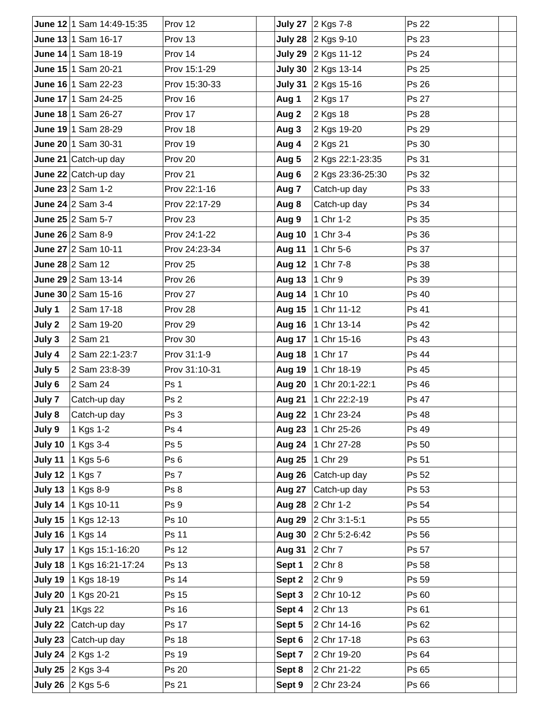|        | June 12 1 Sam 14:49-15:35   | Prov 12         |                  | July 27 2 Kgs 7-8      | Ps 22        |  |
|--------|-----------------------------|-----------------|------------------|------------------------|--------------|--|
|        | June 13 1 Sam 16-17         | Prov 13         |                  | July 28 $ 2$ Kgs 9-10  | Ps 23        |  |
|        | June 14 1 Sam 18-19         | Prov 14         |                  | July 29 $ 2$ Kgs 11-12 | Ps 24        |  |
|        | June 15 1 Sam 20-21         | Prov 15:1-29    |                  | July 30 2 Kgs 13-14    | Ps 25        |  |
|        | June 16 1 Sam 22-23         | Prov 15:30-33   |                  | July 31 2 Kgs 15-16    | Ps 26        |  |
|        | June 17 1 Sam 24-25         | Prov 16         | Aug 1            | 2 Kgs 17               | Ps 27        |  |
|        | June 18 1 Sam 26-27         | Prov 17         | Aug 2            | 2 Kgs 18               | Ps 28        |  |
|        | June 19 1 Sam 28-29         | Prov 18         | Aug 3            | 2 Kgs 19-20            | Ps 29        |  |
|        | June 20 1 Sam 30-31         | Prov 19         | Aug 4            | 2 Kgs 21               | Ps 30        |  |
|        | June 21 Catch-up day        | Prov 20         | Aug 5            | 2 Kgs 22:1-23:35       | Ps 31        |  |
|        | June 22 Catch-up day        | Prov 21         | Aug 6            | 2 Kgs 23:36-25:30      | Ps 32        |  |
|        | June 23 $2$ Sam 1-2         | Prov 22:1-16    | Aug 7            | Catch-up day           | Ps 33        |  |
|        | June 24 $\sqrt{2}$ Sam 3-4  | Prov 22:17-29   | Aug 8            | Catch-up day           | Ps 34        |  |
|        | June 25 2 Sam 5-7           | Prov 23         | Aug 9            | 1 Chr 1-2              | Ps 35        |  |
|        | June 26 2 Sam 8-9           | Prov 24:1-22    | Aug 10           | 1 Chr 3-4              | Ps 36        |  |
|        | June 27 $ 2$ Sam 10-11      | Prov 24:23-34   | Aug 11           | 1 Chr 5-6              | Ps 37        |  |
|        | June 28 2 Sam 12            | Prov 25         | <b>Aug 12</b>    | 1 Chr 7-8              | Ps 38        |  |
|        | June 29 2 Sam 13-14         | Prov 26         | Aug 13   1 Chr 9 |                        | Ps 39        |  |
|        | June 30 $2$ Sam 15-16       | Prov 27         |                  | Aug 14 1 Chr 10        | Ps 40        |  |
| July 1 | 2 Sam 17-18                 | Prov 28         | <b>Aug 15</b>    | 1 Chr 11-12            | Ps 41        |  |
| July 2 | 2 Sam 19-20                 | Prov 29         |                  | Aug 16   1 Chr 13-14   | Ps 42        |  |
| July 3 | 2 Sam 21                    | Prov 30         |                  | Aug 17   1 Chr 15-16   | Ps 43        |  |
| July 4 | 2 Sam 22:1-23:7             | Prov 31:1-9     |                  | Aug 18   1 Chr 17      | Ps 44        |  |
| July 5 | 2 Sam 23:8-39               | Prov 31:10-31   |                  | Aug 19 1 Chr 18-19     | Ps 45        |  |
| July 6 | 2 Sam 24                    | Ps 1            | Aug 20           | 1 Chr 20:1-22:1        | Ps 46        |  |
| July 7 | Catch-up day                | Ps 2            |                  | Aug 21   1 Chr 22:2-19 | Ps 47        |  |
| July 8 | Catch-up day                | Ps 3            |                  | Aug 22   1 Chr 23-24   | <b>Ps 48</b> |  |
| July 9 | 1 Kgs 1-2                   | Ps 4            |                  | Aug 23 1 Chr 25-26     | Ps 49        |  |
|        | <b>July 10</b> 1 Kgs 3-4    | Ps <sub>5</sub> |                  | Aug 24   1 Chr 27-28   | Ps 50        |  |
|        | July 11   1 $Kgs 5-6$       | Ps 6            | <b>Aug 25</b>    | 1 Chr 29               | Ps 51        |  |
|        | July 12 $\vert$ 1 Kgs 7     | Ps 7            | Aug 26           | Catch-up day           | Ps 52        |  |
|        | July 13 1 Kgs 8-9           | Ps 8            | <b>Aug 27</b>    | Catch-up day           | Ps 53        |  |
|        | July 14   1 Kgs 10-11       | Ps 9            |                  | Aug 28 2 Chr 1-2       | Ps 54        |  |
|        | July 15 1 Kgs 12-13         | Ps 10           |                  | Aug 29 2 Chr 3:1-5:1   | Ps 55        |  |
|        | July 16   1 Kgs 14          | Ps 11           |                  | Aug 30 2 Chr 5:2-6:42  | Ps 56        |  |
|        | July 17   1 Kgs 15:1-16:20  | Ps 12           | Aug 31 2 Chr 7   |                        | Ps 57        |  |
|        | July 18   1 Kgs 16:21-17:24 | Ps 13           | Sept 1           | 2 Chr 8                | Ps 58        |  |
|        | July 19 1 Kgs 18-19         | Ps 14           | Sept 2           | 2 Chr 9                | Ps 59        |  |
|        | July 20   1 Kgs 20-21       | Ps 15           | Sept 3           | 2 Chr 10-12            | Ps 60        |  |
|        | July 21   1Kgs 22           | Ps 16           | Sept 4           | 2 Chr 13               | Ps 61        |  |
|        | July 22 Catch-up day        | Ps 17           | Sept 5           | 2 Chr 14-16            | Ps 62        |  |
|        | July 23 Catch-up day        | <b>Ps 18</b>    | Sept 6           | 2 Chr 17-18            | Ps 63        |  |
|        | July 24 2 Kgs 1-2           | Ps 19           | Sept 7           | 2 Chr 19-20            | Ps 64        |  |
|        | <b>July 25</b> 2 Kgs 3-4    | Ps 20           | Sept 8           | 2 Chr 21-22            | Ps 65        |  |
|        | July 26 2 Kgs 5-6           | Ps 21           | Sept 9           | 2 Chr 23-24            | Ps 66        |  |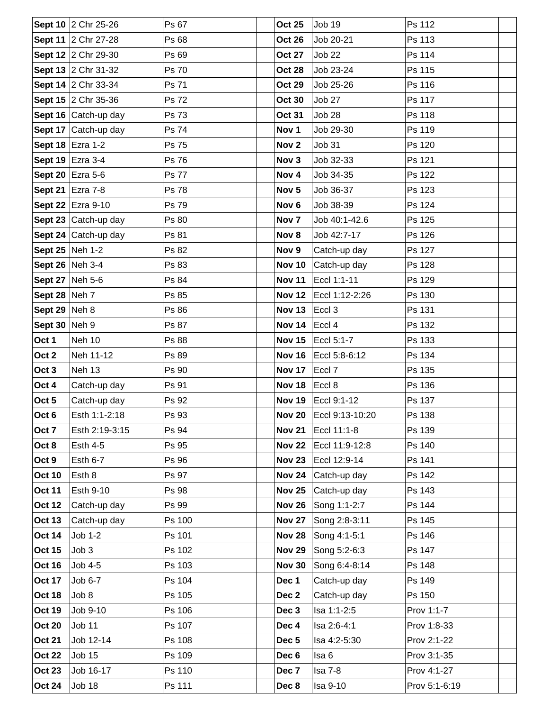|                      | Sept 10 2 Chr 25-26  | Ps 67        | <b>Oct 25</b>    | Job 19            | Ps 112        |
|----------------------|----------------------|--------------|------------------|-------------------|---------------|
|                      | Sept 11 2 Chr 27-28  | Ps 68        | <b>Oct 26</b>    | Job 20-21         | Ps 113        |
|                      | Sept 12 2 Chr 29-30  | Ps 69        | <b>Oct 27</b>    | <b>Job 22</b>     | Ps 114        |
|                      | Sept 13 2 Chr 31-32  | Ps 70        | <b>Oct 28</b>    | Job 23-24         | Ps 115        |
|                      | Sept 14 2 Chr 33-34  | Ps 71        | <b>Oct 29</b>    | Job 25-26         | Ps 116        |
|                      | Sept 15 2 Chr 35-36  | Ps 72        | <b>Oct 30</b>    | Job 27            | Ps 117        |
|                      | Sept 16 Catch-up day | Ps 73        | <b>Oct 31</b>    | Job 28            | Ps 118        |
|                      | Sept 17 Catch-up day | Ps 74        | Nov <sub>1</sub> | Job 29-30         | Ps 119        |
|                      | Sept 18 Ezra 1-2     | Ps 75        | Nov <sub>2</sub> | Job 31            | Ps 120        |
|                      | Sept 19 Ezra 3-4     | Ps 76        | Nov 3            | Job 32-33         | Ps 121        |
|                      | Sept 20 Ezra 5-6     | <b>Ps 77</b> | Nov 4            | Job 34-35         | Ps 122        |
|                      | Sept 21 Ezra 7-8     | <b>Ps 78</b> | Nov <sub>5</sub> | Job 36-37         | Ps 123        |
|                      | Sept 22 Ezra 9-10    | Ps 79        | Nov <sub>6</sub> | Job 38-39         | Ps 124        |
|                      | Sept 23 Catch-up day | Ps 80        | Nov <sub>7</sub> | Job 40:1-42.6     | Ps 125        |
|                      | Sept 24 Catch-up day | Ps 81        | Nov 8            | Job 42:7-17       | Ps 126        |
| Sept 25 Neh 1-2      |                      | Ps 82        | Nov 9            | Catch-up day      | Ps 127        |
| Sept 26 Neh 3-4      |                      | Ps 83        | <b>Nov 10</b>    | Catch-up day      | Ps 128        |
| Sept 27 Neh 5-6      |                      | Ps 84        | <b>Nov 11</b>    | Eccl 1:1-11       | Ps 129        |
| <b>Sept 28 Neh 7</b> |                      | Ps 85        | <b>Nov 12</b>    | Eccl 1:12-2:26    | Ps 130        |
| Sept 29 $ $ Neh 8    |                      | Ps 86        | <b>Nov 13</b>    | Eccl <sub>3</sub> | Ps 131        |
| Sept 30 Neh 9        |                      | Ps 87        | <b>Nov 14</b>    | Eccl 4            | Ps 132        |
| Oct 1                | Neh 10               | Ps 88        | <b>Nov 15</b>    | Eccl 5:1-7        | Ps 133        |
| Oct 2                | Neh 11-12            | Ps 89        | <b>Nov 16</b>    | Eccl 5:8-6:12     | Ps 134        |
| Oct 3                | Neh 13               | Ps 90        | <b>Nov 17</b>    | Eccl <sub>7</sub> | Ps 135        |
| Oct 4                | Catch-up day         | Ps 91        | <b>Nov 18</b>    | Eccl 8            | Ps 136        |
| Oct 5                | Catch-up day         | Ps 92        | <b>Nov 19</b>    | Eccl 9:1-12       | Ps 137        |
| Oct 6                | Esth 1:1-2:18        | Ps 93        | <b>Nov 20</b>    | Eccl 9:13-10:20   | Ps 138        |
| Oct 7                | Esth 2:19-3:15       | Ps 94        | <b>Nov 21</b>    | Eccl 11:1-8       | Ps 139        |
| Oct 8                | <b>Esth 4-5</b>      | Ps 95        | <b>Nov 22</b>    | Eccl 11:9-12:8    | Ps 140        |
| Oct 9                | Esth 6-7             | Ps 96        | <b>Nov 23</b>    | Eccl 12:9-14      | Ps 141        |
| <b>Oct 10</b>        | Esth 8               | Ps 97        | <b>Nov 24</b>    | Catch-up day      | Ps 142        |
| <b>Oct 11</b>        | Esth 9-10            | Ps 98        | <b>Nov 25</b>    | Catch-up day      | Ps 143        |
| <b>Oct 12</b>        | Catch-up day         | Ps 99        | <b>Nov 26</b>    | Song 1:1-2:7      | Ps 144        |
| <b>Oct 13</b>        | Catch-up day         | Ps 100       | <b>Nov 27</b>    | Song 2:8-3:11     | Ps 145        |
| <b>Oct 14</b>        | Job 1-2              | Ps 101       | <b>Nov 28</b>    | Song 4:1-5:1      | Ps 146        |
| <b>Oct 15</b>        | Job 3                | Ps 102       | <b>Nov 29</b>    | Song 5:2-6:3      | Ps 147        |
| <b>Oct 16</b>        | Job 4-5              | Ps 103       | <b>Nov 30</b>    | Song 6:4-8:14     | Ps 148        |
| <b>Oct 17</b>        | Job 6-7              | Ps 104       | Dec 1            | Catch-up day      | Ps 149        |
| <b>Oct 18</b>        | Job 8                | Ps 105       | Dec 2            | Catch-up day      | Ps 150        |
| <b>Oct 19</b>        | Job 9-10             | Ps 106       | Dec 3            | Isa 1:1-2:5       | Prov 1:1-7    |
| <b>Oct 20</b>        | Job 11               | Ps 107       | Dec 4            | Isa 2:6-4:1       | Prov 1:8-33   |
| <b>Oct 21</b>        | Job 12-14            | Ps 108       | Dec <sub>5</sub> | Isa 4:2-5:30      | Prov 2:1-22   |
| <b>Oct 22</b>        | <b>Job 15</b>        | Ps 109       | Dec 6            | Isa <sub>6</sub>  | Prov 3:1-35   |
| <b>Oct 23</b>        | Job 16-17            | Ps 110       | Dec 7            | Isa 7-8           | Prov 4:1-27   |
| <b>Oct 24</b>        | Job 18               | Ps 111       | Dec 8            | Isa 9-10          | Prov 5:1-6:19 |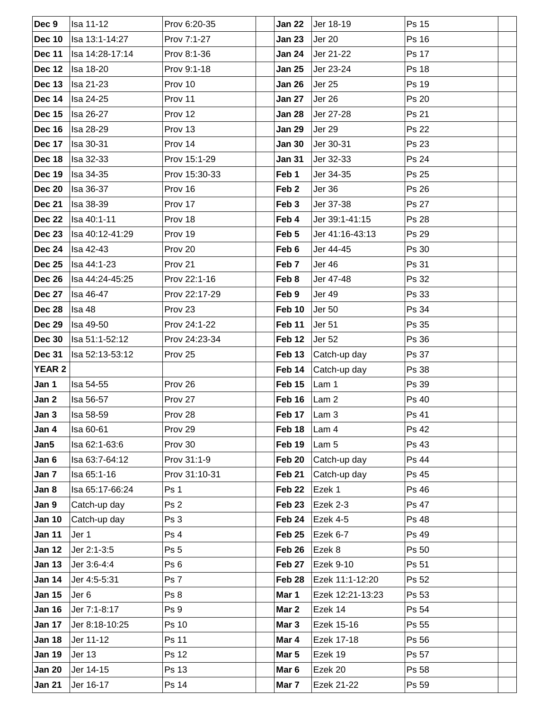| Dec 9         | <b>Isa 11-12</b> | Prov 6:20-35    | <b>Jan 22</b>        | Jer 18-19        | Ps 15        |
|---------------|------------------|-----------------|----------------------|------------------|--------------|
| <b>Dec 10</b> | Isa 13:1-14:27   | Prov 7:1-27     | <b>Jan 23</b>        | Jer 20           | Ps 16        |
| <b>Dec 11</b> | Isa 14:28-17:14  | Prov 8:1-36     | Jan 24               | Jer 21-22        | <b>Ps 17</b> |
| Dec 12        | <b>Isa 18-20</b> | Prov 9:1-18     | <b>Jan 25</b>        | Jer 23-24        | Ps 18        |
| Dec 13        | <b>Isa 21-23</b> | Prov 10         | <b>Jan 26</b>        | <b>Jer 25</b>    | Ps 19        |
| Dec 14        | <b>Isa 24-25</b> | Prov 11         | <b>Jan 27</b>        | Jer 26           | Ps 20        |
| <b>Dec 15</b> | <b>Isa 26-27</b> | Prov 12         | Jan 28               | Jer 27-28        | Ps 21        |
| Dec 16        | Isa 28-29        | Prov 13         | <b>Jan 29</b>        | Jer 29           | <b>Ps 22</b> |
| Dec 17        | <b>Isa 30-31</b> | Prov 14         | <b>Jan 30</b>        | Jer 30-31        | Ps 23        |
| Dec 18        | Isa 32-33        | Prov 15:1-29    | <b>Jan 31</b>        | Jer 32-33        | Ps 24        |
| Dec 19        | Isa 34-35        | Prov 15:30-33   | Feb 1                | Jer 34-35        | Ps 25        |
| <b>Dec 20</b> | <b>Isa 36-37</b> | Prov 16         | Feb <sub>2</sub>     | Jer 36           | Ps 26        |
| <b>Dec 21</b> | <b>Isa 38-39</b> | Prov 17         | Feb <sub>3</sub>     | Jer 37-38        | Ps 27        |
| Dec 22        | Isa 40:1-11      | Prov 18         | Feb 4                | Jer 39:1-41:15   | Ps 28        |
| Dec 23        | Isa 40:12-41:29  | Prov 19         | Feb 5                | Jer 41:16-43:13  | Ps 29        |
| Dec 24        | <b>Isa 42-43</b> | Prov 20         | Feb 6                | Jer 44-45        | Ps 30        |
| <b>Dec 25</b> | Isa 44:1-23      | Prov 21         | Feb 7                | Jer 46           | Ps 31        |
| Dec 26        | Isa 44:24-45:25  | Prov 22:1-16    | Feb 8                | Jer 47-48        | Ps 32        |
| <b>Dec 27</b> | <b>Isa 46-47</b> | Prov 22:17-29   | Feb 9                | Jer 49           | Ps 33        |
| Dec 28        | Isa 48           | Prov 23         | Feb 10               | <b>Jer 50</b>    | Ps 34        |
| <b>Dec 29</b> | <b>Isa 49-50</b> | Prov 24:1-22    | Feb 11               | <b>Jer 51</b>    | Ps 35        |
| <b>Dec 30</b> | Isa 51:1-52:12   | Prov 24:23-34   | Feb 12               | <b>Jer 52</b>    | Ps 36        |
| <b>Dec 31</b> | Isa 52:13-53:12  | Prov 25         | Feb 13               | Catch-up day     | Ps 37        |
| <b>YEAR 2</b> |                  |                 | Feb 14               | Catch-up day     | Ps 38        |
| Jan 1         | Isa 54-55        | Prov 26         | Feb 15               | Lam 1            | Ps 39        |
| Jan 2         | Isa 56-57        | Prov 27         | Feb $16$             | Lam <sub>2</sub> | Ps 40        |
| Jan 3         | Isa 58-59        | Prov 28         | Feb 17 $\vert$ Lam 3 |                  | Ps 41        |
| Jan 4         | Isa 60-61        | Prov 29         | Feb 18               | Lam 4            | Ps 42        |
| Jan5          | Isa 62:1-63:6    | Prov 30         | Feb 19               | Lam 5            | Ps 43        |
| Jan 6         | Isa 63:7-64:12   | Prov 31:1-9     | Feb 20               | Catch-up day     | Ps 44        |
| Jan 7         | Isa 65:1-16      | Prov 31:10-31   | Feb 21               | Catch-up day     | Ps 45        |
| Jan 8         | Isa 65:17-66:24  | Ps 1            | Feb 22               | Ezek 1           | Ps 46        |
| Jan 9         | Catch-up day     | Ps <sub>2</sub> | Feb 23               | Ezek 2-3         | Ps 47        |
| <b>Jan 10</b> | Catch-up day     | Ps 3            | Feb 24               | Ezek 4-5         | <b>Ps 48</b> |
| <b>Jan 11</b> | Jer 1            | Ps 4            | <b>Feb 25</b>        | Ezek 6-7         | Ps 49        |
| <b>Jan 12</b> | Jer 2:1-3:5      | Ps <sub>5</sub> | Feb 26               | Ezek 8           | Ps 50        |
| <b>Jan 13</b> | Jer 3:6-4:4      | Ps <sub>6</sub> | Feb 27               | Ezek 9-10        | Ps 51        |
| <b>Jan 14</b> | Jer 4:5-5:31     | Ps 7            | Feb 28               | Ezek 11:1-12:20  | Ps 52        |
| <b>Jan 15</b> | Jer <sub>6</sub> | Ps 8            | Mar 1                | Ezek 12:21-13:23 | Ps 53        |
| <b>Jan 16</b> | Jer 7:1-8:17     | Ps 9            | Mar 2                | Ezek 14          | Ps 54        |
| <b>Jan 17</b> | Jer 8:18-10:25   | Ps 10           | Mar <sub>3</sub>     | Ezek 15-16       | Ps 55        |
| <b>Jan 18</b> | Jer 11-12        | Ps 11           | Mar 4                | Ezek 17-18       | Ps 56        |
| <b>Jan 19</b> | Jer 13           | Ps 12           | Mar 5                | Ezek 19          | Ps 57        |
| <b>Jan 20</b> | Jer 14-15        | Ps 13           | Mar <sub>6</sub>     | Ezek 20          | Ps 58        |
| <b>Jan 21</b> | Jer 16-17        | Ps 14           | Mar 7                | Ezek 21-22       | Ps 59        |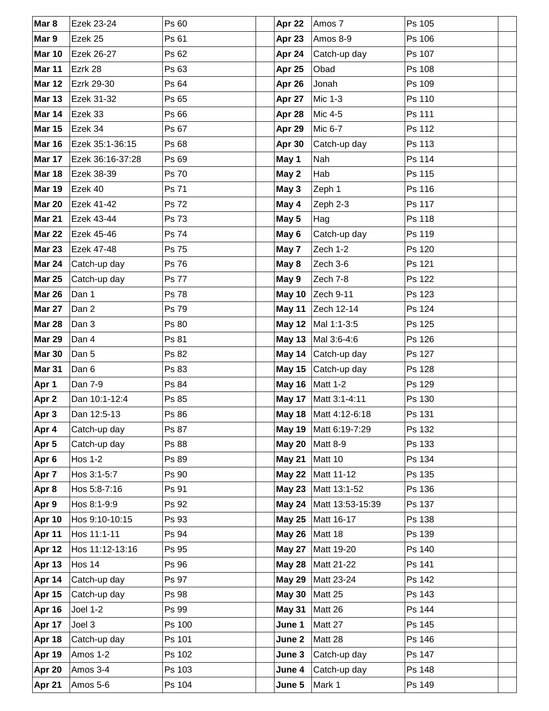| Mar 8         | Ezek 23-24       | Ps 60        | Apr 22        | Amos 7                  | Ps 105 |  |
|---------------|------------------|--------------|---------------|-------------------------|--------|--|
| Mar 9         | Ezek 25          | Ps 61        | Apr 23        | Amos 8-9                | Ps 106 |  |
| <b>Mar 10</b> | Ezek 26-27       | Ps 62        | Apr 24        | Catch-up day            | Ps 107 |  |
| <b>Mar 11</b> | Ezrk 28          | Ps 63        | Apr 25        | Obad                    | Ps 108 |  |
| <b>Mar 12</b> | Ezrk 29-30       | Ps 64        | Apr 26        | Jonah                   | Ps 109 |  |
| <b>Mar 13</b> | Ezek 31-32       | Ps 65        | Apr 27        | Mic 1-3                 | Ps 110 |  |
| Mar 14        | Ezek 33          | Ps 66        | Apr 28        | Mic 4-5                 | Ps 111 |  |
| <b>Mar 15</b> | Ezek 34          | Ps 67        | Apr 29        | Mic 6-7                 | Ps 112 |  |
| <b>Mar 16</b> | Ezek 35:1-36:15  | Ps 68        | Apr 30        | Catch-up day            | Ps 113 |  |
| Mar 17        | Ezek 36:16-37:28 | Ps 69        | May 1         | Nah                     | Ps 114 |  |
| <b>Mar 18</b> | Ezek 38-39       | Ps 70        | May 2         | Hab                     | Ps 115 |  |
| <b>Mar 19</b> | Ezek 40          | Ps 71        | May 3         | Zeph 1                  | Ps 116 |  |
| <b>Mar 20</b> | Ezek 41-42       | <b>Ps 72</b> | May 4         | Zeph 2-3                | Ps 117 |  |
| <b>Mar 21</b> | Ezek 43-44       | Ps 73        | May 5         | Hag                     | Ps 118 |  |
| <b>Mar 22</b> | Ezek 45-46       | Ps 74        | May 6         | Catch-up day            | Ps 119 |  |
| <b>Mar 23</b> | Ezek 47-48       | Ps 75        | May 7         | Zech 1-2                | Ps 120 |  |
| <b>Mar 24</b> | Catch-up day     | Ps 76        | May 8         | Zech 3-6                | Ps 121 |  |
| <b>Mar 25</b> | Catch-up day     | <b>Ps 77</b> | May 9         | Zech 7-8                | Ps 122 |  |
| <b>Mar 26</b> | Dan 1            | <b>Ps 78</b> | <b>May 10</b> | Zech 9-11               | Ps 123 |  |
| <b>Mar 27</b> | Dan 2            | Ps 79        | <b>May 11</b> | Zech 12-14              | Ps 124 |  |
| <b>Mar 28</b> | Dan 3            | Ps 80        | May 12 $ $    | Mal 1:1-3:5             | Ps 125 |  |
| <b>Mar 29</b> | Dan 4            | Ps 81        | <b>May 13</b> | Mal 3:6-4:6             | Ps 126 |  |
| <b>Mar 30</b> | Dan 5            | Ps 82        | May 14        | Catch-up day            | Ps 127 |  |
| Mar 31        | Dan 6            | Ps 83        | <b>May 15</b> | Catch-up day            | Ps 128 |  |
| Apr 1         | Dan 7-9          | Ps 84        |               | May 16   Matt 1-2       | Ps 129 |  |
| Apr 2         | Dan 10:1-12:4    | Ps 85        |               | May 17   Matt 3:1-4:11  | Ps 130 |  |
| Apr 3         | Dan 12:5-13      | Ps 86        |               | May 18   Matt 4:12-6:18 | Ps 131 |  |
| Apr 4         | Catch-up day     | Ps 87        | May 19        | Matt 6:19-7:29          | Ps 132 |  |
| Apr 5         | Catch-up day     | Ps 88        | <b>May 20</b> | <b>Matt 8-9</b>         | Ps 133 |  |
| Apr 6         | <b>Hos 1-2</b>   | Ps 89        | <b>May 21</b> | Matt 10                 | Ps 134 |  |
| Apr 7         | Hos 3:1-5:7      | Ps 90        | <b>May 22</b> | Matt 11-12              | Ps 135 |  |
| Apr 8         | Hos 5:8-7:16     | Ps 91        | <b>May 23</b> | Matt 13:1-52            | Ps 136 |  |
| Apr 9         | Hos 8:1-9:9      | Ps 92        | <b>May 24</b> | Matt 13:53-15:39        | Ps 137 |  |
| Apr 10        | Hos 9:10-10:15   | Ps 93        | <b>May 25</b> | Matt 16-17              | Ps 138 |  |
| Apr 11        | Hos 11:1-11      | Ps 94        | <b>May 26</b> | Matt 18                 | Ps 139 |  |
| Apr 12        | Hos 11:12-13:16  | Ps 95        | <b>May 27</b> | Matt 19-20              | Ps 140 |  |
| <b>Apr 13</b> | Hos 14           | Ps 96        | <b>May 28</b> | Matt 21-22              | Ps 141 |  |
| Apr 14        | Catch-up day     | Ps 97        | <b>May 29</b> | Matt 23-24              | Ps 142 |  |
| <b>Apr 15</b> | Catch-up day     | Ps 98        | <b>May 30</b> | Matt 25                 | Ps 143 |  |
| Apr 16        | Joel 1-2         | Ps 99        | <b>May 31</b> | Matt 26                 | Ps 144 |  |
| Apr 17        | Joel 3           | Ps 100       | June 1        | Matt 27                 | Ps 145 |  |
| Apr 18        | Catch-up day     | Ps 101       | June 2        | Matt 28                 | Ps 146 |  |
| Apr 19        | Amos 1-2         | Ps 102       | June 3        | Catch-up day            | Ps 147 |  |
| Apr 20        | Amos 3-4         | Ps 103       | June 4        | Catch-up day            | Ps 148 |  |
| Apr 21        | Amos 5-6         | Ps 104       | June 5        | Mark 1                  | Ps 149 |  |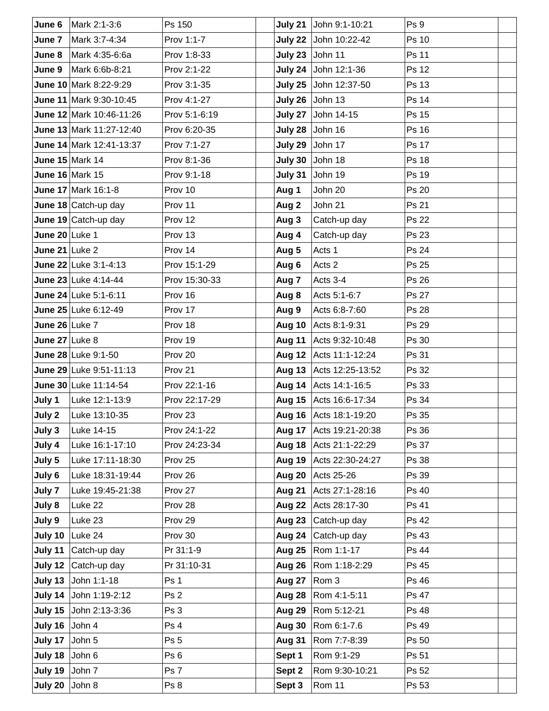| June 6                   | Mark 2:1-3:6                 | Ps 150             | July 21          | John 9:1-10:21          | Ps 9         |
|--------------------------|------------------------------|--------------------|------------------|-------------------------|--------------|
| June 7                   | Mark 3:7-4:34                | Prov 1:1-7         |                  | July 22 John 10:22-42   | <b>Ps 10</b> |
| June 8                   | Mark 4:35-6:6a               | Prov 1:8-33        |                  | July 23 John 11         | Ps 11        |
| June 9                   | Mark 6:6b-8:21               | Prov 2:1-22        | July 24          | John 12:1-36            | Ps 12        |
|                          | June 10 Mark 8:22-9:29       | Prov 3:1-35        |                  | July 25 John 12:37-50   | Ps 13        |
|                          | June 11 Mark 9:30-10:45      | Prov 4:1-27        |                  | July 26 John 13         | <b>Ps 14</b> |
|                          | June 12 Mark 10:46-11:26     | Prov 5:1-6:19      |                  | July 27 John 14-15      | <b>Ps 15</b> |
|                          | June 13 Mark 11:27-12:40     | Prov 6:20-35       |                  | July 28 John 16         | <b>Ps 16</b> |
|                          | June 14 Mark 12:41-13:37     | Prov 7:1-27        | July 29          | John 17                 | Ps 17        |
|                          | June 15 Mark 14              | Prov 8:1-36        |                  | July 30 John 18         | <b>Ps 18</b> |
|                          | <b>June 16 Mark 15</b>       | Prov 9:1-18        | July 31          | John 19                 | Ps 19        |
|                          | June 17 Mark 16:1-8          | Prov 10            | Aug 1            | John 20                 | Ps 20        |
|                          | June 18 Catch-up day         | Prov 11            | Aug 2            | John 21                 | Ps 21        |
|                          | June 19 $\vert$ Catch-up day | Prov 12            | Aug 3            | Catch-up day            | <b>Ps 22</b> |
| June $20$ Luke 1         |                              | Prov 13            | Aug 4            | Catch-up day            | Ps 23        |
| June 21 $\lfloor$ Luke 2 |                              | Prov 14            | Aug 5            | Acts 1                  | Ps 24        |
|                          | June 22 Luke 3:1-4:13        | Prov 15:1-29       | Aug 6            | Acts 2                  | Ps 25        |
|                          | June 23 Luke 4:14-44         | Prov 15:30-33      | Aug <sub>7</sub> | Acts 3-4                | Ps 26        |
|                          | June 24 Luke 5:1-6:11        | Prov 16            | Aug 8            | Acts 5:1-6:7            | Ps 27        |
|                          | June 25 Luke 6:12-49         | Prov 17            | Aug 9            | Acts 6:8-7:60           | <b>Ps 28</b> |
| June 26 Luke 7           |                              | Prov 18            |                  | Aug 10 Acts 8:1-9:31    | Ps 29        |
| June $27$ Luke 8         |                              | Prov 19            | Aug 11           | Acts 9:32-10:48         | Ps 30        |
|                          | June 28 Luke 9:1-50          | Prov 20            |                  | Aug 12 Acts 11:1-12:24  | Ps 31        |
|                          | June 29 Luke 9:51-11:13      | Prov <sub>21</sub> |                  | Aug 13 Acts 12:25-13:52 | Ps 32        |
|                          | June 30 Luke 11:14-54        | Prov 22:1-16       | Aug 14           | Acts 14:1-16:5          | Ps 33        |
| July 1                   | Luke 12:1-13:9               | Prov 22:17-29      |                  | Aug 15 Acts 16:6-17:34  | Ps 34        |
| July 2                   | Luke 13:10-35                | Prov <sub>23</sub> |                  | Aug 16 Acts 18:1-19:20  | Ps 35        |
| July 3                   | Luke 14-15                   | Prov 24:1-22       |                  | Aug 17 Acts 19:21-20:38 | Ps 36        |
| July 4                   | Luke 16:1-17:10              | Prov 24:23-34      |                  | Aug 18 Acts 21:1-22:29  | Ps 37        |
| July 5                   | Luke 17:11-18:30             | Prov 25            | Aug 19           | Acts 22:30-24:27        | Ps 38        |
| July 6                   | Luke 18:31-19:44             | Prov 26            | Aug 20           | Acts 25-26              | Ps 39        |
| July 7                   | Luke 19:45-21:38             | Prov 27            | <b>Aug 21</b>    | Acts 27:1-28:16         | <b>Ps 40</b> |
| July 8                   | Luke 22                      | Prov 28            | <b>Aug 22</b>    | Acts 28:17-30           | Ps 41        |
| July 9                   | Luke 23                      | Prov 29            | Aug 23           | Catch-up day            | Ps 42        |
|                          | July 10 $ $ Luke 24          | Prov 30            | Aug 24           | Catch-up day            | Ps 43        |
|                          | July 11 Catch-up day         | Pr 31:1-9          | <b>Aug 25</b>    | Rom 1:1-17              | Ps 44        |
|                          | July 12 Catch-up day         | Pr 31:10-31        | Aug 26           | Rom 1:18-2:29           | Ps 45        |
|                          | July 13 John 1:1-18          | Ps 1               | <b>Aug 27</b>    | Rom 3                   | Ps 46        |
|                          | July 14 John 1:19-2:12       | Ps 2               | Aug 28           | Rom 4:1-5:11            | Ps 47        |
|                          | July 15 John 2:13-3:36       | Ps 3               | Aug 29           | Rom 5:12-21             | Ps 48        |
| July 16 John 4           |                              | Ps 4               | Aug 30           | Rom 6:1-7.6             | Ps 49        |
| July 17 John 5           |                              | Ps 5               | <b>Aug 31</b>    | Rom 7:7-8:39            | Ps 50        |
| July 18 John $6$         |                              | Ps <sub>6</sub>    | Sept 1           | Rom 9:1-29              | Ps 51        |
| July 19 John $7$         |                              | Ps 7               | Sept 2           | Rom 9:30-10:21          | Ps 52        |
| July 20 $\vert$ John 8   |                              | Ps 8               | Sept 3           | Rom 11                  | Ps 53        |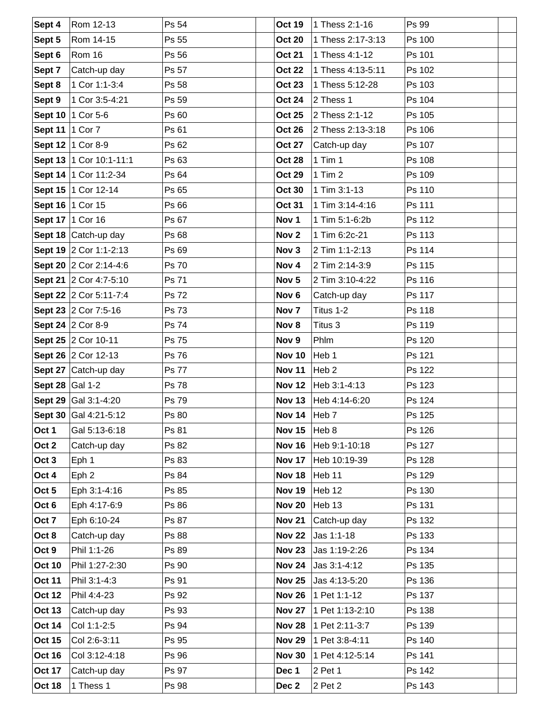| Sept 4            | Rom 12-13                 | Ps 54        | <b>Oct 19</b>    | 1 Thess 2:1-16    | Ps 99  |
|-------------------|---------------------------|--------------|------------------|-------------------|--------|
| Sept 5            | Rom 14-15                 | Ps 55        | <b>Oct 20</b>    | 1 Thess 2:17-3:13 | Ps 100 |
| Sept 6            | Rom 16                    | Ps 56        | <b>Oct 21</b>    | 1 Thess 4:1-12    | Ps 101 |
| Sept 7            | Catch-up day              | Ps 57        | <b>Oct 22</b>    | 1 Thess 4:13-5:11 | Ps 102 |
| Sept 8            | 1 Cor 1:1-3:4             | Ps 58        | <b>Oct 23</b>    | 1 Thess 5:12-28   | Ps 103 |
| Sept 9            | 1 Cor 3:5-4:21            | Ps 59        | <b>Oct 24</b>    | 2 Thess 1         | Ps 104 |
|                   | Sept 10   1 Cor 5-6       | Ps 60        | <b>Oct 25</b>    | 2 Thess 2:1-12    | Ps 105 |
| Sept 11   1 Cor 7 |                           | Ps 61        | <b>Oct 26</b>    | 2 Thess 2:13-3:18 | Ps 106 |
|                   | Sept 12   1 Cor 8-9       | Ps 62        | <b>Oct 27</b>    | Catch-up day      | Ps 107 |
|                   | Sept 13   1 Cor 10:1-11:1 | Ps 63        | <b>Oct 28</b>    | $1$ Tim $1$       | Ps 108 |
|                   | Sept 14   1 Cor 11:2-34   | Ps 64        | <b>Oct 29</b>    | $1$ Tim $2$       | Ps 109 |
|                   | Sept 15   1 Cor 12-14     | Ps 65        | <b>Oct 30</b>    | 1 Tim 3:1-13      | Ps 110 |
|                   | Sept 16   1 Cor 15        | Ps 66        | <b>Oct 31</b>    | 1 Tim 3:14-4:16   | Ps 111 |
|                   | Sept 17   1 Cor 16        | Ps 67        | Nov 1            | 1 Tim 5:1-6:2b    | Ps 112 |
|                   | Sept 18 Catch-up day      | Ps 68        | Nov <sub>2</sub> | 1 Tim 6:2c-21     | Ps 113 |
|                   | Sept 19 2 Cor 1:1-2:13    | Ps 69        | Nov 3            | 2 Tim 1:1-2:13    | Ps 114 |
|                   | Sept 20 2 Cor 2:14-4:6    | <b>Ps 70</b> | Nov 4            | 2 Tim 2:14-3:9    | Ps 115 |
|                   | Sept 21 2 Cor 4:7-5:10    | Ps 71        | Nov <sub>5</sub> | 2 Tim 3:10-4:22   | Ps 116 |
|                   | Sept 22 2 Cor 5:11-7:4    | Ps 72        | Nov <sub>6</sub> | Catch-up day      | Ps 117 |
|                   | Sept 23 2 Cor 7:5-16      | Ps 73        | Nov <sub>7</sub> | Titus 1-2         | Ps 118 |
|                   | Sept 24 2 Cor 8-9         | Ps 74        | Nov 8            | Titus 3           | Ps 119 |
|                   | Sept 25 2 Cor 10-11       | Ps 75        | Nov 9            | Phlm              | Ps 120 |
|                   | Sept 26 2 Cor 12-13       | Ps 76        | <b>Nov 10</b>    | Heb 1             | Ps 121 |
|                   | Sept 27 Catch-up day      | <b>Ps 77</b> | <b>Nov 11</b>    | Heb <sub>2</sub>  | Ps 122 |
| Sept 28 Gal 1-2   |                           | <b>Ps 78</b> | <b>Nov 12</b>    | Heb 3:1-4:13      | Ps 123 |
|                   | Sept 29 Gal 3:1-4:20      | Ps 79        | <b>Nov 13</b>    | Heb 4:14-6:20     | Ps 124 |
|                   | Sept 30 Gal 4:21-5:12     | Ps 80        | Nov 14 $ Heb 7$  |                   | Ps 125 |
| Oct 1             | Gal 5:13-6:18             | Ps 81        | <b>Nov 15</b>    | Heb 8             | Ps 126 |
| Oct 2             | Catch-up day              | Ps 82        | <b>Nov 16</b>    | Heb 9:1-10:18     | Ps 127 |
| Oct 3             | Eph 1                     | Ps 83        | <b>Nov 17</b>    | Heb 10:19-39      | Ps 128 |
| Oct 4             | Eph <sub>2</sub>          | Ps 84        | <b>Nov 18</b>    | Heb 11            | Ps 129 |
| Oct 5             | Eph 3:1-4:16              | Ps 85        | <b>Nov 19</b>    | Heb 12            | Ps 130 |
| Oct 6             | Eph 4:17-6:9              | Ps 86        | <b>Nov 20</b>    | Heb 13            | Ps 131 |
| Oct 7             | Eph 6:10-24               | Ps 87        | <b>Nov 21</b>    | Catch-up day      | Ps 132 |
| Oct 8             | Catch-up day              | Ps 88        | <b>Nov 22</b>    | Jas 1:1-18        | Ps 133 |
| Oct 9             | Phil 1:1-26               | Ps 89        | <b>Nov 23</b>    | Jas 1:19-2:26     | Ps 134 |
| <b>Oct 10</b>     | Phil 1:27-2:30            | Ps 90        | <b>Nov 24</b>    | Jas 3:1-4:12      | Ps 135 |
| <b>Oct 11</b>     | Phil 3:1-4:3              | Ps 91        | <b>Nov 25</b>    | Jas 4:13-5:20     | Ps 136 |
| <b>Oct 12</b>     | Phil 4:4-23               | Ps 92        | <b>Nov 26</b>    | 1 Pet 1:1-12      | Ps 137 |
| <b>Oct 13</b>     | Catch-up day              | Ps 93        | <b>Nov 27</b>    | 1 Pet 1:13-2:10   | Ps 138 |
| <b>Oct 14</b>     | Col 1:1-2:5               | Ps 94        | <b>Nov 28</b>    | 1 Pet 2:11-3:7    | Ps 139 |
| <b>Oct 15</b>     | Col 2:6-3:11              | Ps 95        | <b>Nov 29</b>    | 1 Pet 3:8-4:11    | Ps 140 |
| <b>Oct 16</b>     | Col 3:12-4:18             | Ps 96        | <b>Nov 30</b>    | 1 Pet 4:12-5:14   | Ps 141 |
| <b>Oct 17</b>     | Catch-up day              | Ps 97        | Dec 1            | 2 Pet 1           | Ps 142 |
| <b>Oct 18</b>     | 1 Thess 1                 | Ps 98        | Dec 2            | 2 Pet 2           | Ps 143 |